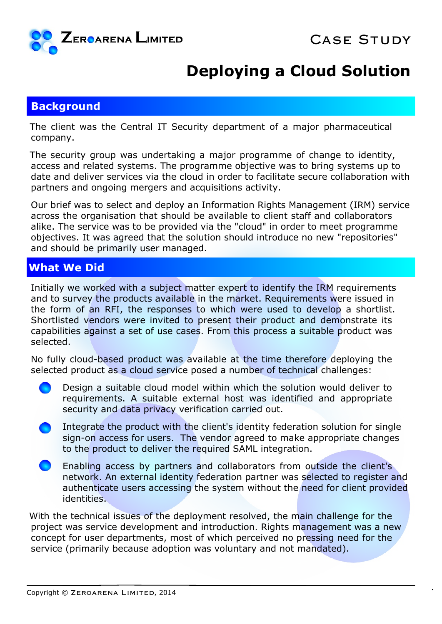

## **Deploying a Cloud Solution**

## **Background**

The client was the Central IT Security department of a major pharmaceutical company.

The security group was undertaking a major programme of change to identity, access and related systems. The programme objective was to bring systems up to date and deliver services via the cloud in order to facilitate secure collaboration with partners and ongoing mergers and acquisitions activity.

Our brief was to select and deploy an Information Rights Management (IRM) service across the organisation that should be available to client staff and collaborators alike. The service was to be provided via the "cloud" in order to meet programme objectives. It was agreed that the solution should introduce no new "repositories" and should be primarily user managed.

## **What We Did**

Initially we worked with a subject matter expert to identify the IRM requirements and to survey the products available in the market. Requirements were issued in the form of an RFI, the responses to which were used to develop a shortlist. Shortlisted vendors were invited to present their product and demonstrate its capabilities against a set of use cases. From this process a suitable product was selected.

No fully cloud-based product was available at the time therefore deploying the selected product as a cloud service posed a number of technical challenges:

- Design a suitable cloud model within which the solution would deliver to requirements. A suitable external host was identified and appropriate security and data privacy verification carried out.
- Integrate the product with the client's identity federation solution for single sign-on access for users. The vendor agreed to make appropriate changes to the product to deliver the required SAML integration.
- Enabling access by partners and collaborators from outside the client's network. An external identity federation partner was selected to register and authenticate users accessing the system without the need for client provided identities.

With the technical issues of the deployment resolved, the main challenge for the project was service development and introduction. Rights management was a new concept for user departments, most of which perceived no pressing need for the service (primarily because adoption was voluntary and not mandated).